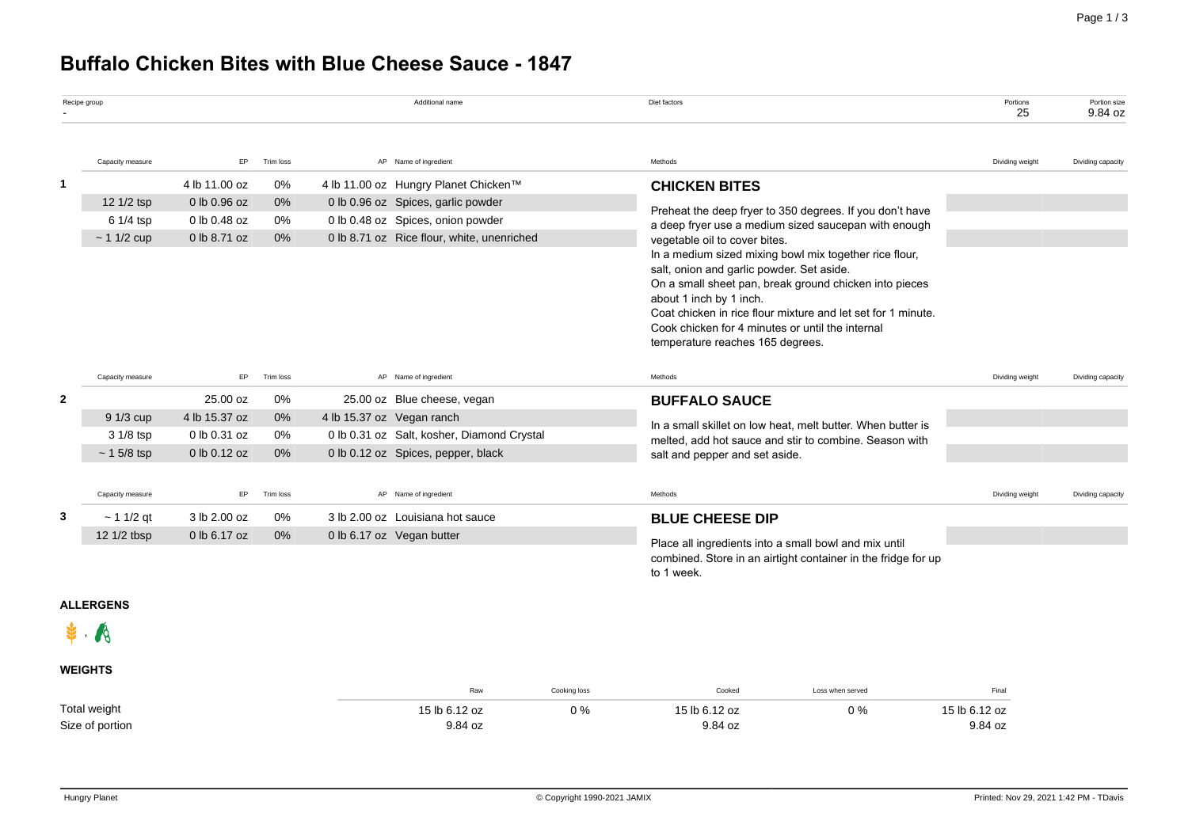# **Buffalo Chicken Bites with Blue Cheese Sauce - 1847**

|              | Recipe group                           |                                                               |                         | Additional name                                                                                                                                               | Diet factors                                                                                                                                                                                                                                                                                                                                                                                                                                                                                                                  | Portions<br>25  | Portion size<br>9.84 oz |
|--------------|----------------------------------------|---------------------------------------------------------------|-------------------------|---------------------------------------------------------------------------------------------------------------------------------------------------------------|-------------------------------------------------------------------------------------------------------------------------------------------------------------------------------------------------------------------------------------------------------------------------------------------------------------------------------------------------------------------------------------------------------------------------------------------------------------------------------------------------------------------------------|-----------------|-------------------------|
|              | Capacity measure                       | EP                                                            | Trim loss               | AP Name of ingredient                                                                                                                                         | Methods                                                                                                                                                                                                                                                                                                                                                                                                                                                                                                                       | Dividing weight | Dividing capacity       |
| 1            | 12 1/2 tsp<br>6 1/4 tsp<br>$~11/2$ cup | 4 lb 11.00 oz<br>0 lb 0.96 oz<br>0 lb 0.48 oz<br>0 lb 8.71 oz | 0%<br>0%<br>0%<br>0%    | 4 lb 11.00 oz Hungry Planet Chicken™<br>0 lb 0.96 oz Spices, garlic powder<br>0 lb 0.48 oz Spices, onion powder<br>0 lb 8.71 oz Rice flour, white, unenriched | <b>CHICKEN BITES</b><br>Preheat the deep fryer to 350 degrees. If you don't have<br>a deep fryer use a medium sized saucepan with enough<br>vegetable oil to cover bites.<br>In a medium sized mixing bowl mix together rice flour,<br>salt, onion and garlic powder. Set aside.<br>On a small sheet pan, break ground chicken into pieces<br>about 1 inch by 1 inch.<br>Coat chicken in rice flour mixture and let set for 1 minute.<br>Cook chicken for 4 minutes or until the internal<br>temperature reaches 165 degrees. |                 |                         |
|              | Capacity measure                       | EP.                                                           | Trim loss               | AP Name of ingredient                                                                                                                                         | Methods                                                                                                                                                                                                                                                                                                                                                                                                                                                                                                                       | Dividing weight | Dividing capacity       |
| $\mathbf{2}$ | 9 1/3 cup<br>3 1/8 tsp<br>$~15/8$ tsp  | 25.00 oz<br>4 lb 15.37 oz<br>0 lb 0.31 oz<br>0 lb 0.12 oz     | 0%<br>$0\%$<br>0%<br>0% | 25.00 oz Blue cheese, vegan<br>4 lb 15.37 oz Vegan ranch<br>0 lb 0.31 oz Salt, kosher, Diamond Crystal<br>0 lb 0.12 oz Spices, pepper, black                  | <b>BUFFALO SAUCE</b><br>In a small skillet on low heat, melt butter. When butter is<br>melted, add hot sauce and stir to combine. Season with<br>salt and pepper and set aside.                                                                                                                                                                                                                                                                                                                                               |                 |                         |
|              | Capacity measure                       | EP                                                            | Trim loss               | AP Name of ingredient                                                                                                                                         | Methods                                                                                                                                                                                                                                                                                                                                                                                                                                                                                                                       | Dividing weight | Dividing capacity       |
| 3            | $~11/2$ qt<br>12 1/2 tbsp              | 3 lb 2.00 oz<br>0 lb 6.17 oz                                  | 0%<br>$0\%$             | 3 lb 2.00 oz Louisiana hot sauce<br>0 lb 6.17 oz Vegan butter                                                                                                 | <b>BLUE CHEESE DIP</b><br>Place all ingredients into a small bowl and mix until<br>combined. Store in an airtight container in the fridge for up<br>to 1 week.                                                                                                                                                                                                                                                                                                                                                                |                 |                         |

## **ALLERGENS**

 $\mathbf{\dot{F}}$ . A

## **WEIGHTS**

|                 | Raw           | Cooking loss | Cooked        | Loss when served | Final         |
|-----------------|---------------|--------------|---------------|------------------|---------------|
| Total weight    | 15 lb 6.12 oz | 0%           | 15 lb 6.12 oz | 0 %              | 15 lb 6.12 oz |
| Size of portion | 9.84 oz       |              | 9.84 oz       |                  | 9.84 oz       |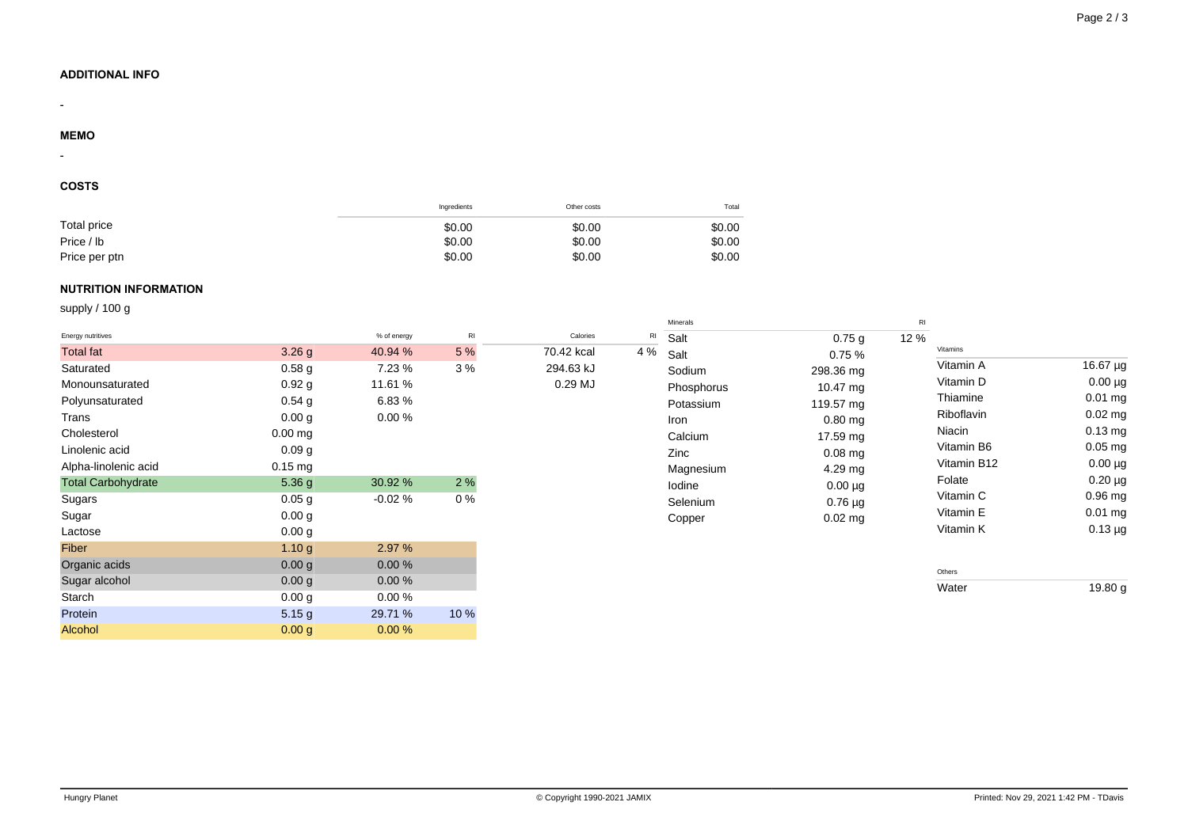## **ADDITIONAL INFO**

#### **MEMO**

-

-

### **COSTS**

|               | Ingredients | Other costs | Total  |
|---------------|-------------|-------------|--------|
| Total price   | \$0.00      | \$0.00      | \$0.00 |
| Price / lb    | \$0.00      | \$0.00      | \$0.00 |
| Price per ptn | \$0.00      | \$0.00      | \$0.00 |

## **NUTRITION INFORMATION**

supply / 100 g

|                           |                   |             |      |            |     | Minerals   |                   | RI   |             |              |
|---------------------------|-------------------|-------------|------|------------|-----|------------|-------------------|------|-------------|--------------|
| Energy nutritives         |                   | % of energy | R    | Calories   | RI  | Salt       | 0.75 <sub>g</sub> | 12 % |             |              |
| <b>Total fat</b>          | 3.26 <sub>g</sub> | 40.94 %     | 5 %  | 70.42 kcal | 4 % | Salt       | 0.75%             |      | Vitamins    |              |
| Saturated                 | 0.58 <sub>g</sub> | 7.23 %      | 3%   | 294.63 kJ  |     | Sodium     | 298.36 mg         |      | Vitamin A   | 16.67 µg     |
| Monounsaturated           | 0.92g             | 11.61 %     |      | $0.29$ MJ  |     | Phosphorus | 10.47 mg          |      | Vitamin D   | $0.00 \mu g$ |
| Polyunsaturated           | $0.54$ g          | 6.83%       |      |            |     | Potassium  | 119.57 mg         |      | Thiamine    | $0.01$ mg    |
| Trans                     | 0.00 g            | 0.00%       |      |            |     | Iron       | $0.80$ mg         |      | Riboflavin  | $0.02$ mg    |
| Cholesterol               | $0.00$ mg         |             |      |            |     | Calcium    | 17.59 mg          |      | Niacin      | $0.13$ mg    |
| Linolenic acid            | 0.09 <sub>g</sub> |             |      |            |     | Zinc       | $0.08$ mg         |      | Vitamin B6  | $0.05$ mg    |
| Alpha-linolenic acid      | $0.15$ mg         |             |      |            |     | Magnesium  | 4.29 mg           |      | Vitamin B12 | $0.00 \mu g$ |
| <b>Total Carbohydrate</b> | 5.36 g            | 30.92 %     | 2%   |            |     | Iodine     | $0.00 \mu g$      |      | Folate      | $0.20 \mu g$ |
| Sugars                    | 0.05 g            | $-0.02%$    | 0%   |            |     | Selenium   | $0.76 \mu g$      |      | Vitamin C   | $0.96$ mg    |
| Sugar                     | 0.00 g            |             |      |            |     | Copper     | $0.02$ mg         |      | Vitamin E   | $0.01$ mg    |
| Lactose                   | 0.00 <sub>g</sub> |             |      |            |     |            |                   |      | Vitamin K   | $0.13 \mu g$ |
| Fiber                     | 1.10 <sub>g</sub> | 2.97 %      |      |            |     |            |                   |      |             |              |
| Organic acids             | 0.00 g            | 0.00%       |      |            |     |            |                   |      | Others      |              |
| Sugar alcohol             | 0.00 g            | 0.00%       |      |            |     |            |                   |      | Water       | 19.80 g      |
| Starch                    | 0.00 g            | 0.00%       |      |            |     |            |                   |      |             |              |
| Protein                   | 5.15 g            | 29.71 %     | 10 % |            |     |            |                   |      |             |              |
| <b>Alcohol</b>            | 0.00 g            | 0.00%       |      |            |     |            |                   |      |             |              |
|                           |                   |             |      |            |     |            |                   |      |             |              |